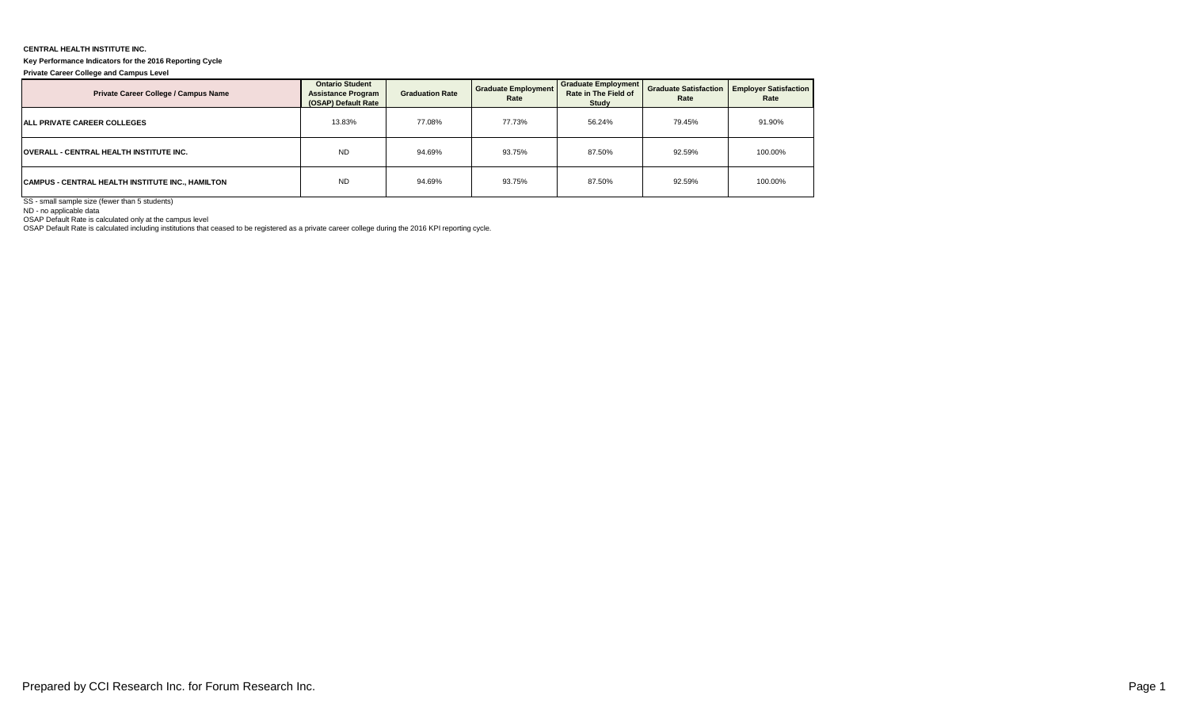## **CENTRAL HEALTH INSTITUTE INC.**

## **Key Performance Indicators for the 2016 Reporting Cycle**

**Private Career College and Campus Level**

| Private Career College / Campus Name             | <b>Ontario Student</b><br><b>Assistance Program</b><br>(OSAP) Default Rate | <b>Graduation Rate</b> | <b>Graduate Employment</b><br>Rate | <b>Graduate Employment</b><br>Rate in The Field of<br>Study | Rate   | <b>Graduate Satisfaction   Employer Satisfaction  </b><br>Rate |  |
|--------------------------------------------------|----------------------------------------------------------------------------|------------------------|------------------------------------|-------------------------------------------------------------|--------|----------------------------------------------------------------|--|
| <b>ALL PRIVATE CAREER COLLEGES</b>               | 13.83%                                                                     | 77.08%                 | 77.73%                             | 56.24%                                                      | 79.45% | 91.90%                                                         |  |
| <b>OVERALL - CENTRAL HEALTH INSTITUTE INC.</b>   | <b>ND</b>                                                                  | 94.69%                 | 93.75%                             | 87.50%                                                      | 92.59% | 100.00%                                                        |  |
| CAMPUS - CENTRAL HEALTH INSTITUTE INC., HAMILTON | <b>ND</b>                                                                  | 94.69%                 | 93.75%                             | 87.50%                                                      | 92.59% | 100.00%                                                        |  |

SS - small sample size (fewer than 5 students)

ND - no applicable data

OSAP Default Rate is calculated only at the campus level OSAP Default Rate is calculated including institutions that ceased to be registered as a private career college during the 2016 KPI reporting cycle.